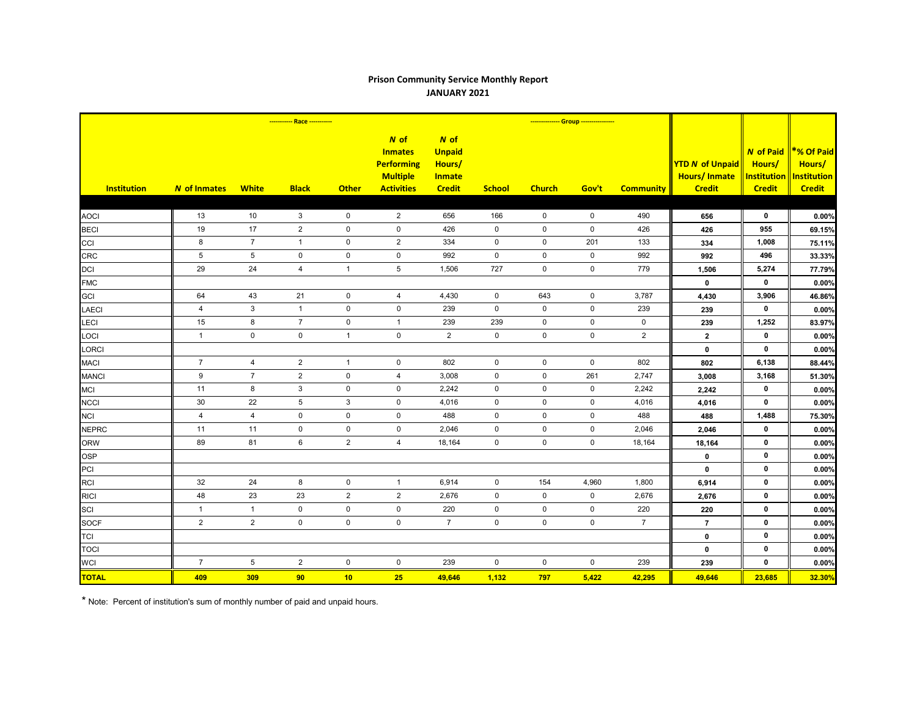## **Prison Community Service Monthly Report JANUARY 2021**

|                            | ----------- Race ----------- |                           |                     |              |                                                                                       |                                                                   |                     | -------------- Group ---------------- |             |                  |                                                                |                                                            |                                                             |
|----------------------------|------------------------------|---------------------------|---------------------|--------------|---------------------------------------------------------------------------------------|-------------------------------------------------------------------|---------------------|---------------------------------------|-------------|------------------|----------------------------------------------------------------|------------------------------------------------------------|-------------------------------------------------------------|
| <b>Institution</b>         | <b>N</b> of Inmates          | <b>White</b>              | <b>Black</b>        | <b>Other</b> | $N$ of<br><b>Inmates</b><br><b>Performing</b><br><b>Multiple</b><br><b>Activities</b> | N of<br><b>Unpaid</b><br>Hours/<br><b>Inmate</b><br><b>Credit</b> | <b>School</b>       | <b>Church</b>                         | Gov't       | <b>Community</b> | <b>YTD N of Unpaid</b><br><b>Hours/Inmate</b><br><b>Credit</b> | <b>N</b> of Paid<br>Hours/<br>Institution<br><b>Credit</b> | *% Of Paid<br>Hours/<br><b>Institution</b><br><b>Credit</b> |
|                            | 13                           | 10                        | 3                   | $\pmb{0}$    | $\overline{2}$                                                                        | 656                                                               | 166                 | $\mathbf 0$                           | $\mathbf 0$ | 490              |                                                                | 0                                                          |                                                             |
| <b>AOCI</b><br><b>BECI</b> | 19                           | 17                        | $\overline{2}$      | $\mathbf 0$  | $\mathbf 0$                                                                           | 426                                                               | $\mathbf 0$         | $\mathbf 0$                           | $\mathbf 0$ | 426              | 656<br>426                                                     | 955                                                        | 0.00%<br>69.15%                                             |
|                            | 8                            | $\overline{7}$            | $\mathbf{1}$        | $\pmb{0}$    | $\mathbf{2}$                                                                          | 334                                                               | $\mathbf 0$         | $\mathbf 0$                           | 201         | 133              |                                                                | 1,008                                                      |                                                             |
| CCI<br><b>CRC</b>          | $\,$ 5 $\,$                  | $5\phantom{.0}$           | $\mathsf{O}\xspace$ | $\mathbf 0$  | $\mathsf{O}\xspace$                                                                   | 992                                                               | $\mathsf{O}\xspace$ | $\mathsf 0$                           | $\mathsf 0$ | 992              | 334                                                            | 496                                                        | 75.11%                                                      |
|                            | 29                           | 24                        | $\overline{4}$      | $\mathbf{1}$ | $\sqrt{5}$                                                                            | 1,506                                                             | 727                 | $\mathbf 0$                           | $\mathsf 0$ | 779              | 992                                                            | 5,274                                                      | 33.33%                                                      |
| <b>DCI</b>                 |                              |                           |                     |              |                                                                                       |                                                                   |                     |                                       |             |                  | 1,506<br>$\mathbf 0$                                           | $\mathbf 0$                                                | 77.79%                                                      |
| <b>FMC</b><br><b>GCI</b>   | 64                           | 43                        | 21                  | $\pmb{0}$    | $\overline{4}$                                                                        | 4,430                                                             | $\mathbf 0$         | 643                                   | $\mathsf 0$ | 3,787            | 4,430                                                          | 3,906                                                      | 0.00%<br>46.86%                                             |
|                            | $\overline{4}$               | $\ensuremath{\mathsf{3}}$ | $\mathbf{1}$        | $\mathbf 0$  | $\mathbf 0$                                                                           | 239                                                               | $\mathbf 0$         | $\mathbf 0$                           | $\mathbf 0$ | 239              |                                                                | $\mathbf{0}$                                               | 0.00%                                                       |
| <b>LAECI</b><br>LECI       | 15                           | 8                         | $\overline{7}$      | $\mathbf 0$  | $\mathbf{1}$                                                                          | 239                                                               | 239                 | $\mathbf 0$                           | $\mathbf 0$ | $\mathbf 0$      | 239<br>239                                                     | 1,252                                                      | 83.97%                                                      |
| LOCI                       | $\mathbf{1}$                 | $\mathbf 0$               | $\mathsf 0$         | $\mathbf{1}$ | $\pmb{0}$                                                                             | $\overline{2}$                                                    | $\mathbf 0$         | $\mathsf{O}\xspace$                   | $\mathbf 0$ | $\overline{2}$   | $\mathbf{2}$                                                   | 0                                                          | 0.00%                                                       |
| LORCI                      |                              |                           |                     |              |                                                                                       |                                                                   |                     |                                       |             |                  | $\mathbf 0$                                                    | $\mathbf 0$                                                | 0.00%                                                       |
| <b>MACI</b>                | $\overline{7}$               | $\overline{4}$            | $\overline{2}$      | $\mathbf{1}$ | $\mathbf 0$                                                                           | 802                                                               | $\mathbf 0$         | $\mathbf 0$                           | $\mathbf 0$ | 802              | 802                                                            | 6,138                                                      | 88.44%                                                      |
| <b>MANCI</b>               | $\boldsymbol{9}$             | $\overline{7}$            | $\overline{2}$      | 0            | 4                                                                                     | 3,008                                                             | $\mathbf 0$         | $\mathbf 0$                           | 261         | 2,747            | 3,008                                                          | 3,168                                                      | 51.30%                                                      |
| <b>MCI</b>                 | 11                           | 8                         | 3                   | $\pmb{0}$    | $\mathbf 0$                                                                           | 2,242                                                             | $\mathbf 0$         | $\mathbf 0$                           | $\mathbf 0$ | 2,242            | 2,242                                                          | $\mathbf 0$                                                | 0.00%                                                       |
| <b>NCCI</b>                | 30                           | 22                        | 5                   | $\mathbf{3}$ | $\mathbf 0$                                                                           | 4,016                                                             | $\mathbf 0$         | $\mathbf 0$                           | $\mathbf 0$ | 4,016            | 4,016                                                          | $\mathbf 0$                                                | 0.00%                                                       |
| <b>NCI</b>                 | 4                            | $\overline{4}$            | $\mathsf{O}$        | $\pmb{0}$    | $\pmb{0}$                                                                             | 488                                                               | $\mathbf 0$         | $\mathbf 0$                           | $\mathbf 0$ | 488              | 488                                                            | 1,488                                                      | 75.30%                                                      |
| <b>NEPRC</b>               | 11                           | 11                        | $\mathsf{O}$        | $\mathbf 0$  | $\mathsf{O}\xspace$                                                                   | 2,046                                                             | $\mathbf 0$         | $\mathbf 0$                           | $\mathbf 0$ | 2,046            | 2,046                                                          | $\mathbf 0$                                                | 0.00%                                                       |
| <b>ORW</b>                 | 89                           | 81                        | 6                   | $\mathbf{2}$ | $\overline{4}$                                                                        | 18,164                                                            | $\mathsf 0$         | $\mathbf 0$                           | $\mathbf 0$ | 18,164           | 18,164                                                         | $\mathbf 0$                                                | 0.00%                                                       |
| <b>OSP</b>                 |                              |                           |                     |              |                                                                                       |                                                                   |                     |                                       |             |                  | $\mathbf 0$                                                    | $\mathbf 0$                                                | 0.00%                                                       |
| PCI                        |                              |                           |                     |              |                                                                                       |                                                                   |                     |                                       |             |                  | $\mathbf 0$                                                    | $\mathbf 0$                                                | 0.00%                                                       |
| <b>RCI</b>                 | 32                           | 24                        | 8                   | $\pmb{0}$    | $\mathbf{1}$                                                                          | 6,914                                                             | $\mathbf 0$         | 154                                   | 4,960       | 1,800            | 6,914                                                          | $\mathbf 0$                                                | 0.00%                                                       |
| <b>RICI</b>                | 48                           | 23                        | 23                  | $\mathbf{2}$ | $\sqrt{2}$                                                                            | 2,676                                                             | $\mathbf 0$         | $\mathbf 0$                           | $\mathbf 0$ | 2,676            | 2,676                                                          | $\mathbf 0$                                                | 0.00%                                                       |
| SCI                        | $\mathbf{1}$                 | $\mathbf{1}$              | $\mathsf 0$         | $\pmb{0}$    | $\mathbf 0$                                                                           | 220                                                               | $\mathsf 0$         | $\mathsf 0$                           | $\mathbf 0$ | 220              | 220                                                            | $\mathbf 0$                                                | 0.00%                                                       |
| <b>SOCF</b>                | $\overline{2}$               | $\overline{2}$            | $\mathbf 0$         | $\mathbf 0$  | $\mathbf 0$                                                                           | $\overline{7}$                                                    | $\mathbf 0$         | $\mathbf 0$                           | $\mathbf 0$ | $\overline{7}$   | $\overline{7}$                                                 | 0                                                          | 0.00%                                                       |
| <b>TCI</b>                 |                              |                           |                     |              |                                                                                       |                                                                   |                     |                                       |             |                  | $\mathbf 0$                                                    | $\mathbf 0$                                                | 0.00%                                                       |
| <b>TOCI</b>                |                              |                           |                     |              |                                                                                       |                                                                   |                     |                                       |             |                  | $\pmb{0}$                                                      | $\mathbf 0$                                                | 0.00%                                                       |
| <b>WCI</b>                 | $\overline{7}$               | $5\phantom{.0}$           | $\overline{2}$      | $\pmb{0}$    | $\mathbf 0$                                                                           | 239                                                               | $\mathbf 0$         | $\mathbf 0$                           | $\mathbf 0$ | 239              | 239                                                            | $\mathbf 0$                                                | 0.00%                                                       |
| <b>TOTAL</b>               | 409                          | 309                       | 90                  | 10           | 25                                                                                    | 49,646                                                            | 1,132               | 797                                   | 5,422       | 42,295           | 49,646                                                         | 23,685                                                     | 32.30%                                                      |

\* Note: Percent of institution's sum of monthly number of paid and unpaid hours.